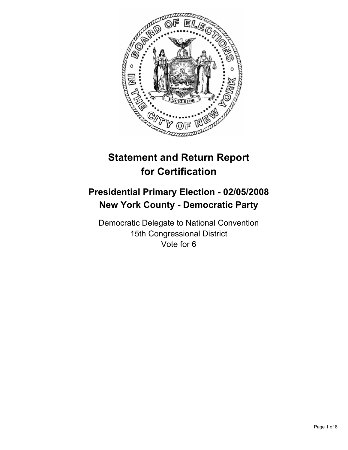

# **Statement and Return Report for Certification**

## **Presidential Primary Election - 02/05/2008 New York County - Democratic Party**

Democratic Delegate to National Convention 15th Congressional District Vote for 6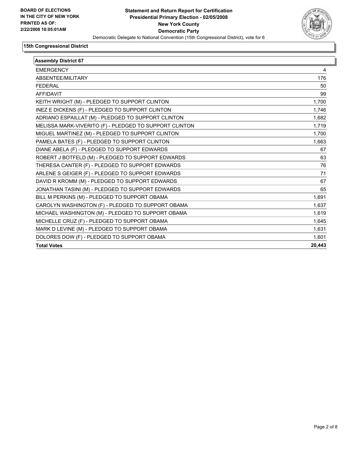

| <b>Assembly District 67</b>                            |        |  |
|--------------------------------------------------------|--------|--|
| <b>EMERGENCY</b>                                       | 4      |  |
| ABSENTEE/MILITARY                                      | 176    |  |
| <b>FEDERAL</b>                                         | 50     |  |
| <b>AFFIDAVIT</b>                                       | 99     |  |
| KEITH WRIGHT (M) - PLEDGED TO SUPPORT CLINTON          | 1,700  |  |
| INEZ E DICKENS (F) - PLEDGED TO SUPPORT CLINTON        | 1,746  |  |
| ADRIANO ESPAILLAT (M) - PLEDGED TO SUPPORT CLINTON     | 1,682  |  |
| MELISSA MARK-VIVERITO (F) - PLEDGED TO SUPPORT CLINTON | 1,719  |  |
| MIGUEL MARTINEZ (M) - PLEDGED TO SUPPORT CLINTON       | 1.700  |  |
| PAMELA BATES (F) - PLEDGED TO SUPPORT CLINTON          | 1,663  |  |
| DIANE ABELA (F) - PLEDGED TO SUPPORT EDWARDS           | 67     |  |
| ROBERT J BOTFELD (M) - PLEDGED TO SUPPORT EDWARDS      | 63     |  |
| THERESA CANTER (F) - PLEDGED TO SUPPORT EDWARDS        | 76     |  |
| ARLENE S GEIGER (F) - PLEDGED TO SUPPORT EDWARDS       | 71     |  |
| DAVID R KROMM (M) - PLEDGED TO SUPPORT EDWARDS         | 67     |  |
| JONATHAN TASINI (M) - PLEDGED TO SUPPORT EDWARDS       | 65     |  |
| BILL M PERKINS (M) - PLEDGED TO SUPPORT OBAMA          | 1,691  |  |
| CAROLYN WASHINGTON (F) - PLEDGED TO SUPPORT OBAMA      | 1,637  |  |
| MICHAEL WASHINGTON (M) - PLEDGED TO SUPPORT OBAMA      | 1,619  |  |
| MICHELLE CRUZ (F) - PLEDGED TO SUPPORT OBAMA           | 1,645  |  |
| MARK D LEVINE (M) - PLEDGED TO SUPPORT OBAMA           | 1,631  |  |
| DOLORES DOW (F) - PLEDGED TO SUPPORT OBAMA             | 1,601  |  |
| <b>Total Votes</b>                                     | 20,443 |  |
|                                                        |        |  |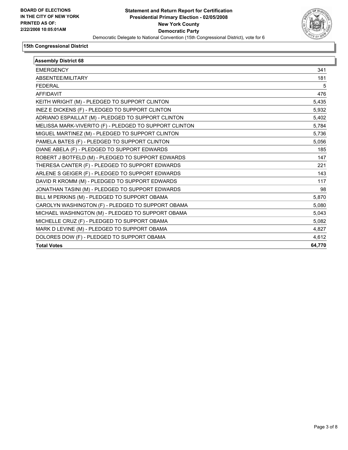

| <b>Assembly District 68</b>                            |        |  |
|--------------------------------------------------------|--------|--|
| <b>EMERGENCY</b>                                       | 341    |  |
| ABSENTEE/MILITARY                                      | 181    |  |
| <b>FEDERAL</b>                                         | 5      |  |
| <b>AFFIDAVIT</b>                                       | 476    |  |
| KEITH WRIGHT (M) - PLEDGED TO SUPPORT CLINTON          | 5,435  |  |
| INEZ E DICKENS (F) - PLEDGED TO SUPPORT CLINTON        | 5,932  |  |
| ADRIANO ESPAILLAT (M) - PLEDGED TO SUPPORT CLINTON     | 5,402  |  |
| MELISSA MARK-VIVERITO (F) - PLEDGED TO SUPPORT CLINTON | 5,784  |  |
| MIGUEL MARTINEZ (M) - PLEDGED TO SUPPORT CLINTON       | 5,736  |  |
| PAMELA BATES (F) - PLEDGED TO SUPPORT CLINTON          | 5,056  |  |
| DIANE ABELA (F) - PLEDGED TO SUPPORT EDWARDS           | 185    |  |
| ROBERT J BOTFELD (M) - PLEDGED TO SUPPORT EDWARDS      | 147    |  |
| THERESA CANTER (F) - PLEDGED TO SUPPORT EDWARDS        | 221    |  |
| ARLENE S GEIGER (F) - PLEDGED TO SUPPORT EDWARDS       | 143    |  |
| DAVID R KROMM (M) - PLEDGED TO SUPPORT EDWARDS         | 117    |  |
| JONATHAN TASINI (M) - PLEDGED TO SUPPORT EDWARDS       | 98     |  |
| BILL M PERKINS (M) - PLEDGED TO SUPPORT OBAMA          | 5,870  |  |
| CAROLYN WASHINGTON (F) - PLEDGED TO SUPPORT OBAMA      | 5,080  |  |
| MICHAEL WASHINGTON (M) - PLEDGED TO SUPPORT OBAMA      | 5,043  |  |
| MICHELLE CRUZ (F) - PLEDGED TO SUPPORT OBAMA           | 5,082  |  |
| MARK D LEVINE (M) - PLEDGED TO SUPPORT OBAMA           | 4,827  |  |
| DOLORES DOW (F) - PLEDGED TO SUPPORT OBAMA             | 4.612  |  |
| <b>Total Votes</b>                                     | 64,770 |  |
|                                                        |        |  |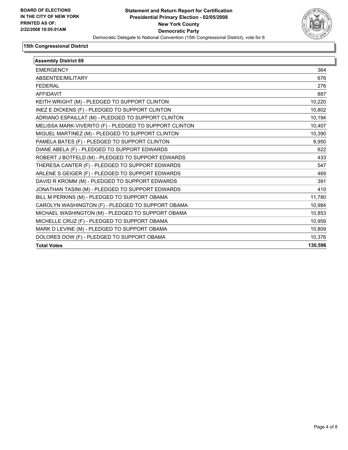

| <b>Assembly District 69</b>                            |         |
|--------------------------------------------------------|---------|
| <b>EMERGENCY</b>                                       | 364     |
| ABSENTEE/MILITARY                                      | 676     |
| <b>FEDERAL</b>                                         | 276     |
| <b>AFFIDAVIT</b>                                       | 887     |
| KEITH WRIGHT (M) - PLEDGED TO SUPPORT CLINTON          | 10,220  |
| INEZ E DICKENS (F) - PLEDGED TO SUPPORT CLINTON        | 10,802  |
| ADRIANO ESPAILLAT (M) - PLEDGED TO SUPPORT CLINTON     | 10,194  |
| MELISSA MARK-VIVERITO (F) - PLEDGED TO SUPPORT CLINTON | 10,407  |
| MIGUEL MARTINEZ (M) - PLEDGED TO SUPPORT CLINTON       | 10,390  |
| PAMELA BATES (F) - PLEDGED TO SUPPORT CLINTON          | 9,950   |
| DIANE ABELA (F) - PLEDGED TO SUPPORT EDWARDS           | 622     |
| ROBERT J BOTFELD (M) - PLEDGED TO SUPPORT EDWARDS      | 433     |
| THERESA CANTER (F) - PLEDGED TO SUPPORT EDWARDS        | 547     |
| ARLENE S GEIGER (F) - PLEDGED TO SUPPORT EDWARDS       | 469     |
| DAVID R KROMM (M) - PLEDGED TO SUPPORT EDWARDS         | 391     |
| JONATHAN TASINI (M) - PLEDGED TO SUPPORT EDWARDS       | 410     |
| BILL M PERKINS (M) - PLEDGED TO SUPPORT OBAMA          | 11,780  |
| CAROLYN WASHINGTON (F) - PLEDGED TO SUPPORT OBAMA      | 10,984  |
| MICHAEL WASHINGTON (M) - PLEDGED TO SUPPORT OBAMA      | 10,853  |
| MICHELLE CRUZ (F) - PLEDGED TO SUPPORT OBAMA           | 10,959  |
| MARK D LEVINE (M) - PLEDGED TO SUPPORT OBAMA           | 10,809  |
| DOLORES DOW (F) - PLEDGED TO SUPPORT OBAMA             | 10,376  |
| <b>Total Votes</b>                                     | 130,596 |
|                                                        |         |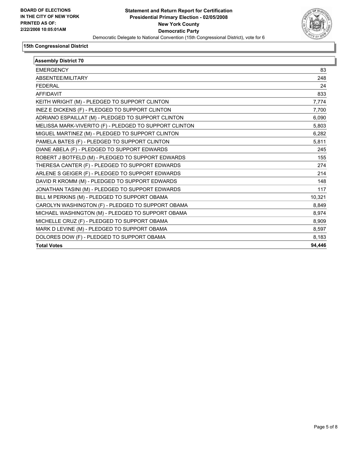

| <b>Assembly District 70</b>                            |        |
|--------------------------------------------------------|--------|
| <b>EMERGENCY</b>                                       | 83     |
| ABSENTEE/MILITARY                                      | 248    |
| <b>FEDERAL</b>                                         | 24     |
| <b>AFFIDAVIT</b>                                       | 833    |
| KEITH WRIGHT (M) - PLEDGED TO SUPPORT CLINTON          | 7,774  |
| INEZ E DICKENS (F) - PLEDGED TO SUPPORT CLINTON        | 7,700  |
| ADRIANO ESPAILLAT (M) - PLEDGED TO SUPPORT CLINTON     | 6,090  |
| MELISSA MARK-VIVERITO (F) - PLEDGED TO SUPPORT CLINTON | 5,803  |
| MIGUEL MARTINEZ (M) - PLEDGED TO SUPPORT CLINTON       | 6,282  |
| PAMELA BATES (F) - PLEDGED TO SUPPORT CLINTON          | 5,811  |
| DIANE ABELA (F) - PLEDGED TO SUPPORT EDWARDS           | 245    |
| ROBERT J BOTFELD (M) - PLEDGED TO SUPPORT EDWARDS      | 155    |
| THERESA CANTER (F) - PLEDGED TO SUPPORT EDWARDS        | 274    |
| ARLENE S GEIGER (F) - PLEDGED TO SUPPORT EDWARDS       | 214    |
| DAVID R KROMM (M) - PLEDGED TO SUPPORT EDWARDS         | 148    |
| JONATHAN TASINI (M) - PLEDGED TO SUPPORT EDWARDS       | 117    |
| BILL M PERKINS (M) - PLEDGED TO SUPPORT OBAMA          | 10,321 |
| CAROLYN WASHINGTON (F) - PLEDGED TO SUPPORT OBAMA      | 8,849  |
| MICHAEL WASHINGTON (M) - PLEDGED TO SUPPORT OBAMA      | 8,974  |
| MICHELLE CRUZ (F) - PLEDGED TO SUPPORT OBAMA           | 8,909  |
| MARK D LEVINE (M) - PLEDGED TO SUPPORT OBAMA           | 8,597  |
| DOLORES DOW (F) - PLEDGED TO SUPPORT OBAMA             | 8,183  |
| <b>Total Votes</b>                                     | 94,446 |
|                                                        |        |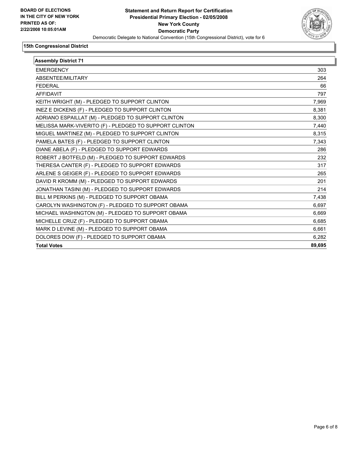

| <b>Assembly District 71</b>                            |        |  |
|--------------------------------------------------------|--------|--|
| <b>EMERGENCY</b>                                       | 303    |  |
| ABSENTEE/MILITARY                                      | 264    |  |
| <b>FEDERAL</b>                                         | 66     |  |
| <b>AFFIDAVIT</b>                                       | 797    |  |
| KEITH WRIGHT (M) - PLEDGED TO SUPPORT CLINTON          | 7,969  |  |
| INEZ E DICKENS (F) - PLEDGED TO SUPPORT CLINTON        | 8,381  |  |
| ADRIANO ESPAILLAT (M) - PLEDGED TO SUPPORT CLINTON     | 8,300  |  |
| MELISSA MARK-VIVERITO (F) - PLEDGED TO SUPPORT CLINTON | 7,440  |  |
| MIGUEL MARTINEZ (M) - PLEDGED TO SUPPORT CLINTON       | 8,315  |  |
| PAMELA BATES (F) - PLEDGED TO SUPPORT CLINTON          | 7,343  |  |
| DIANE ABELA (F) - PLEDGED TO SUPPORT EDWARDS           | 286    |  |
| ROBERT J BOTFELD (M) - PLEDGED TO SUPPORT EDWARDS      | 232    |  |
| THERESA CANTER (F) - PLEDGED TO SUPPORT EDWARDS        | 317    |  |
| ARLENE S GEIGER (F) - PLEDGED TO SUPPORT EDWARDS       | 265    |  |
| DAVID R KROMM (M) - PLEDGED TO SUPPORT EDWARDS         | 201    |  |
| JONATHAN TASINI (M) - PLEDGED TO SUPPORT EDWARDS       | 214    |  |
| BILL M PERKINS (M) - PLEDGED TO SUPPORT OBAMA          | 7,438  |  |
| CAROLYN WASHINGTON (F) - PLEDGED TO SUPPORT OBAMA      | 6,697  |  |
| MICHAEL WASHINGTON (M) - PLEDGED TO SUPPORT OBAMA      | 6,669  |  |
| MICHELLE CRUZ (F) - PLEDGED TO SUPPORT OBAMA           | 6,685  |  |
| MARK D LEVINE (M) - PLEDGED TO SUPPORT OBAMA           | 6,661  |  |
| DOLORES DOW (F) - PLEDGED TO SUPPORT OBAMA             | 6.282  |  |
| <b>Total Votes</b>                                     | 89,695 |  |
|                                                        |        |  |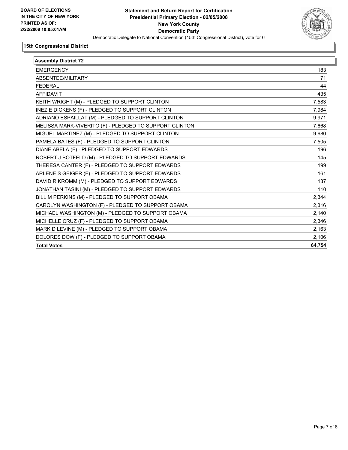

| <b>Assembly District 72</b>                            |        |  |
|--------------------------------------------------------|--------|--|
| <b>EMERGENCY</b>                                       | 183    |  |
| ABSENTEE/MILITARY                                      | 71     |  |
| <b>FEDERAL</b>                                         | 44     |  |
| AFFIDAVIT                                              | 435    |  |
| KEITH WRIGHT (M) - PLEDGED TO SUPPORT CLINTON          | 7,583  |  |
| INEZ E DICKENS (F) - PLEDGED TO SUPPORT CLINTON        | 7,984  |  |
| ADRIANO ESPAILLAT (M) - PLEDGED TO SUPPORT CLINTON     | 9,971  |  |
| MELISSA MARK-VIVERITO (F) - PLEDGED TO SUPPORT CLINTON | 7,668  |  |
| MIGUEL MARTINEZ (M) - PLEDGED TO SUPPORT CLINTON       | 9,680  |  |
| PAMELA BATES (F) - PLEDGED TO SUPPORT CLINTON          | 7,505  |  |
| DIANE ABELA (F) - PLEDGED TO SUPPORT EDWARDS           | 196    |  |
| ROBERT J BOTFELD (M) - PLEDGED TO SUPPORT EDWARDS      | 145    |  |
| THERESA CANTER (F) - PLEDGED TO SUPPORT EDWARDS        | 199    |  |
| ARLENE S GEIGER (F) - PLEDGED TO SUPPORT EDWARDS       | 161    |  |
| DAVID R KROMM (M) - PLEDGED TO SUPPORT EDWARDS         | 137    |  |
| JONATHAN TASINI (M) - PLEDGED TO SUPPORT EDWARDS       | 110    |  |
| BILL M PERKINS (M) - PLEDGED TO SUPPORT OBAMA          | 2,344  |  |
| CAROLYN WASHINGTON (F) - PLEDGED TO SUPPORT OBAMA      | 2,316  |  |
| MICHAEL WASHINGTON (M) - PLEDGED TO SUPPORT OBAMA      | 2,140  |  |
| MICHELLE CRUZ (F) - PLEDGED TO SUPPORT OBAMA           | 2,346  |  |
| MARK D LEVINE (M) - PLEDGED TO SUPPORT OBAMA           | 2,163  |  |
| DOLORES DOW (F) - PLEDGED TO SUPPORT OBAMA             | 2,106  |  |
| <b>Total Votes</b>                                     | 64,754 |  |
|                                                        |        |  |